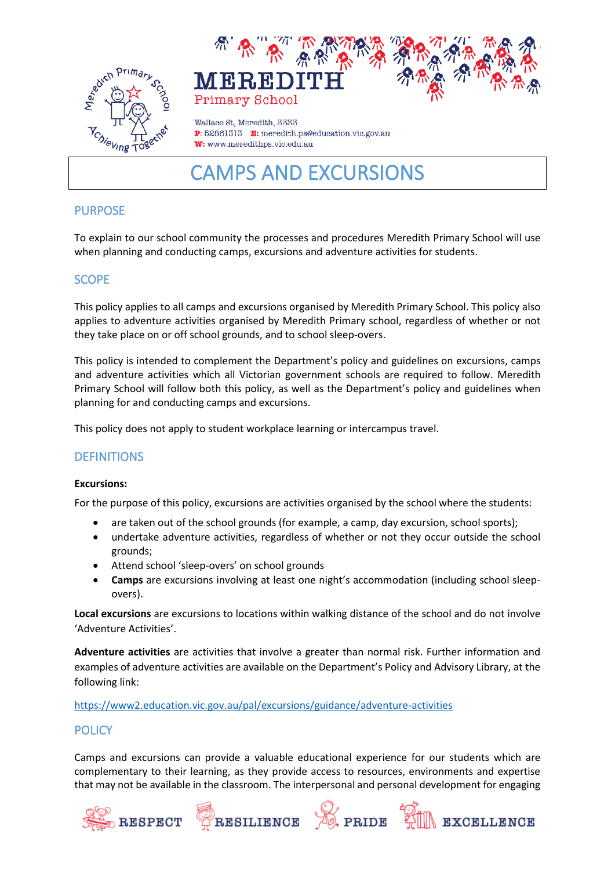



Wallace St. Meredith, 3333 P: 52861313 E: meredith.ps@education.vic.gov.au W: www.meredithps.vic.edu.au

# CAMPS AND EXCURSIONS

# PURPOSE

To explain to our school community the processes and procedures Meredith Primary School will use when planning and conducting camps, excursions and adventure activities for students.

# **SCOPE**

This policy applies to all camps and excursions organised by Meredith Primary School. This policy also applies to adventure activities organised by Meredith Primary school, regardless of whether or not they take place on or off school grounds, and to school sleep-overs.

This policy is intended to complement the Department's policy and guidelines on excursions, camps and adventure activities which all Victorian government schools are required to follow. Meredith Primary School will follow both this policy, as well as the Department's policy and guidelines when planning for and conducting camps and excursions.

This policy does not apply to student workplace learning or intercampus travel.

## **DEFINITIONS**

## **Excursions:**

For the purpose of this policy, excursions are activities organised by the school where the students:

- are taken out of the school grounds (for example, a camp, day excursion, school sports);
- undertake adventure activities, regardless of whether or not they occur outside the school grounds;
- Attend school 'sleep-overs' on school grounds
- **Camps** are excursions involving at least one night's accommodation (including school sleepovers).

**Local excursions** are excursions to locations within walking distance of the school and do not involve 'Adventure Activities'.

**Adventure activities** are activities that involve a greater than normal risk. Further information and examples of adventure activities are available on the Department's Policy and Advisory Library, at the following link:

<https://www2.education.vic.gov.au/pal/excursions/guidance/adventure-activities>

## **POLICY**

Camps and excursions can provide a valuable educational experience for our students which are complementary to their learning, as they provide access to resources, environments and expertise that may not be available in the classroom. The interpersonal and personal development for engaging

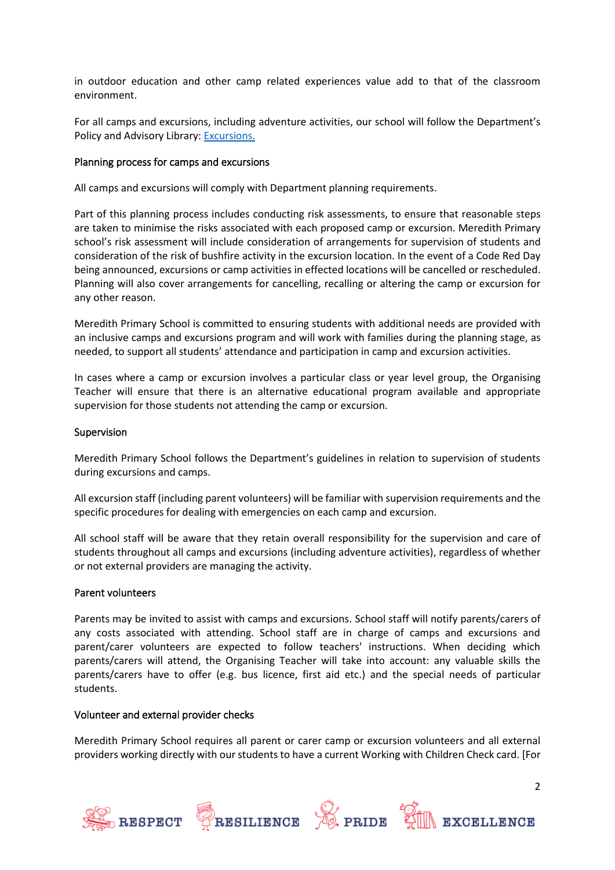in outdoor education and other camp related experiences value add to that of the classroom environment.

For all camps and excursions, including adventure activities, our school will follow the Department's Policy and Advisory Library: [Excursions.](https://www2.education.vic.gov.au/pal/excursions/policy)

#### Planning process for camps and excursions

All camps and excursions will comply with Department planning requirements.

Part of this planning process includes conducting risk assessments, to ensure that reasonable steps are taken to minimise the risks associated with each proposed camp or excursion. Meredith Primary school's risk assessment will include consideration of arrangements for supervision of students and consideration of the risk of bushfire activity in the excursion location. In the event of a Code Red Day being announced, excursions or camp activities in effected locations will be cancelled or rescheduled. Planning will also cover arrangements for cancelling, recalling or altering the camp or excursion for any other reason.

Meredith Primary School is committed to ensuring students with additional needs are provided with an inclusive camps and excursions program and will work with families during the planning stage, as needed, to support all students' attendance and participation in camp and excursion activities.

In cases where a camp or excursion involves a particular class or year level group, the Organising Teacher will ensure that there is an alternative educational program available and appropriate supervision for those students not attending the camp or excursion.

#### Supervision

Meredith Primary School follows the Department's guidelines in relation to supervision of students during excursions and camps.

All excursion staff (including parent volunteers) will be familiar with supervision requirements and the specific procedures for dealing with emergencies on each camp and excursion.

All school staff will be aware that they retain overall responsibility for the supervision and care of students throughout all camps and excursions (including adventure activities), regardless of whether or not external providers are managing the activity.

#### Parent volunteers

Parents may be invited to assist with camps and excursions. School staff will notify parents/carers of any costs associated with attending. School staff are in charge of camps and excursions and parent/carer volunteers are expected to follow teachers' instructions. When deciding which parents/carers will attend, the Organising Teacher will take into account: any valuable skills the parents/carers have to offer (e.g. bus licence, first aid etc.) and the special needs of particular students.

#### Volunteer and external provider checks

Meredith Primary School requires all parent or carer camp or excursion volunteers and all external providers working directly with our students to have a current Working with Children Check card. [For

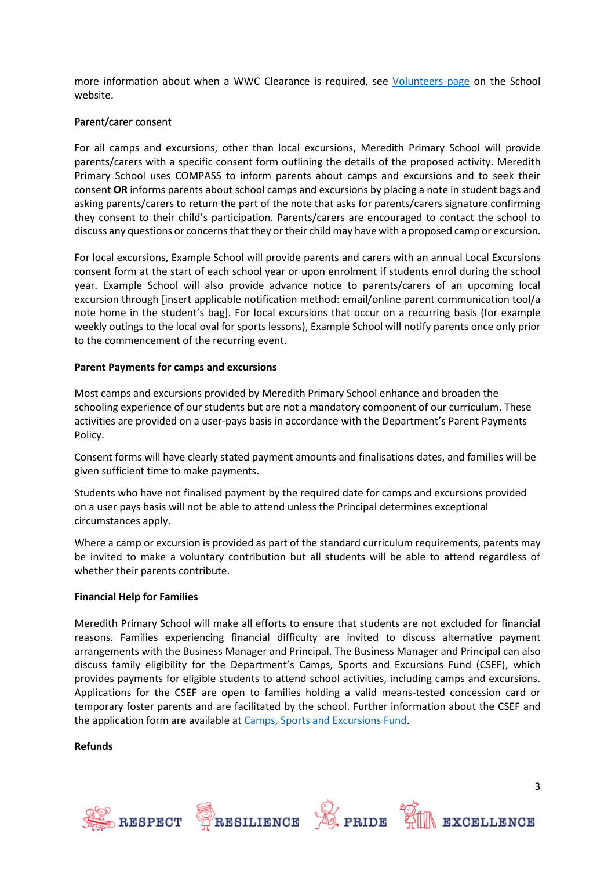more information about when a WWC Clearance is required, see [Volunteers page](https://edugate.eduweb.vic.gov.au/edrms/keyprocess/cp/SitePages/SchoolPoliciesDetail.aspx?CId=88) on the School website.

#### Parent/carer consent

For all camps and excursions, other than local excursions, Meredith Primary School will provide parents/carers with a specific consent form outlining the details of the proposed activity. Meredith Primary School uses COMPASS to inform parents about camps and excursions and to seek their consent **OR** informs parents about school camps and excursions by placing a note in student bags and asking parents/carers to return the part of the note that asks for parents/carers signature confirming they consent to their child's participation. Parents/carers are encouraged to contact the school to discuss any questions or concerns that they or their child may have with a proposed camp or excursion.

For local excursions, Example School will provide parents and carers with an annual Local Excursions consent form at the start of each school year or upon enrolment if students enrol during the school year. Example School will also provide advance notice to parents/carers of an upcoming local excursion through [insert applicable notification method: email/online parent communication tool/a note home in the student's bag]. For local excursions that occur on a recurring basis (for example weekly outings to the local oval for sports lessons), Example School will notify parents once only prior to the commencement of the recurring event.

#### **Parent Payments for camps and excursions**

Most camps and excursions provided by Meredith Primary School enhance and broaden the schooling experience of our students but are not a mandatory component of our curriculum. These activities are provided on a user-pays basis in accordance with the Department's Parent Payments Policy.

Consent forms will have clearly stated payment amounts and finalisations dates, and families will be given sufficient time to make payments.

Students who have not finalised payment by the required date for camps and excursions provided on a user pays basis will not be able to attend unless the Principal determines exceptional circumstances apply.

Where a camp or excursion is provided as part of the standard curriculum requirements, parents may be invited to make a voluntary contribution but all students will be able to attend regardless of whether their parents contribute.

#### **Financial Help for Families**

Meredith Primary School will make all efforts to ensure that students are not excluded for financial reasons. Families experiencing financial difficulty are invited to discuss alternative payment arrangements with the Business Manager and Principal. The Business Manager and Principal can also discuss family eligibility for the Department's Camps, Sports and Excursions Fund (CSEF), which provides payments for eligible students to attend school activities, including camps and excursions. Applications for the CSEF are open to families holding a valid means-tested concession card or temporary foster parents and are facilitated by the school. Further information about the CSEF and the application form are available a[t Camps, Sports and Excursions Fund.](https://www2.education.vic.gov.au/pal/camps-sports-and-excursions-fund/policy)

**Refunds**









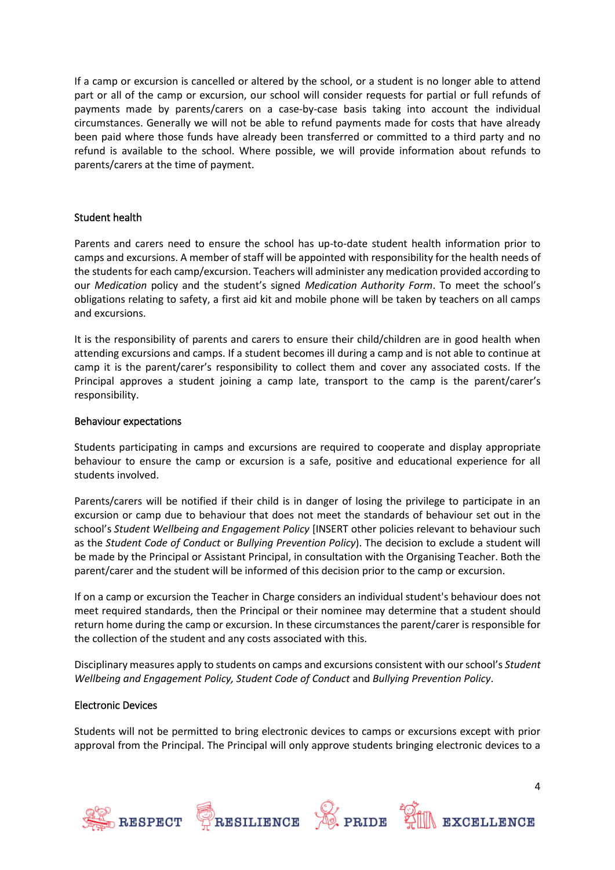If a camp or excursion is cancelled or altered by the school, or a student is no longer able to attend part or all of the camp or excursion, our school will consider requests for partial or full refunds of payments made by parents/carers on a case-by-case basis taking into account the individual circumstances. Generally we will not be able to refund payments made for costs that have already been paid where those funds have already been transferred or committed to a third party and no refund is available to the school. Where possible, we will provide information about refunds to parents/carers at the time of payment.

#### Student health

Parents and carers need to ensure the school has up-to-date student health information prior to camps and excursions. A member of staff will be appointed with responsibility for the health needs of the students for each camp/excursion. Teachers will administer any medication provided according to our *Medication* policy and the student's signed *Medication Authority Form*. To meet the school's obligations relating to safety, a first aid kit and mobile phone will be taken by teachers on all camps and excursions.

It is the responsibility of parents and carers to ensure their child/children are in good health when attending excursions and camps. If a student becomes ill during a camp and is not able to continue at camp it is the parent/carer's responsibility to collect them and cover any associated costs. If the Principal approves a student joining a camp late, transport to the camp is the parent/carer's responsibility.

#### Behaviour expectations

Students participating in camps and excursions are required to cooperate and display appropriate behaviour to ensure the camp or excursion is a safe, positive and educational experience for all students involved.

Parents/carers will be notified if their child is in danger of losing the privilege to participate in an excursion or camp due to behaviour that does not meet the standards of behaviour set out in the school's *Student Wellbeing and Engagement Policy* [INSERT other policies relevant to behaviour such as the *Student Code of Conduct* or *Bullying Prevention Policy*). The decision to exclude a student will be made by the Principal or Assistant Principal, in consultation with the Organising Teacher. Both the parent/carer and the student will be informed of this decision prior to the camp or excursion.

If on a camp or excursion the Teacher in Charge considers an individual student's behaviour does not meet required standards, then the Principal or their nominee may determine that a student should return home during the camp or excursion. In these circumstances the parent/carer is responsible for the collection of the student and any costs associated with this.

Disciplinary measures apply to students on camps and excursions consistent with our school's *Student Wellbeing and Engagement Policy, Student Code of Conduct* and *Bullying Prevention Policy*.

#### Electronic Devices

Students will not be permitted to bring electronic devices to camps or excursions except with prior approval from the Principal. The Principal will only approve students bringing electronic devices to a